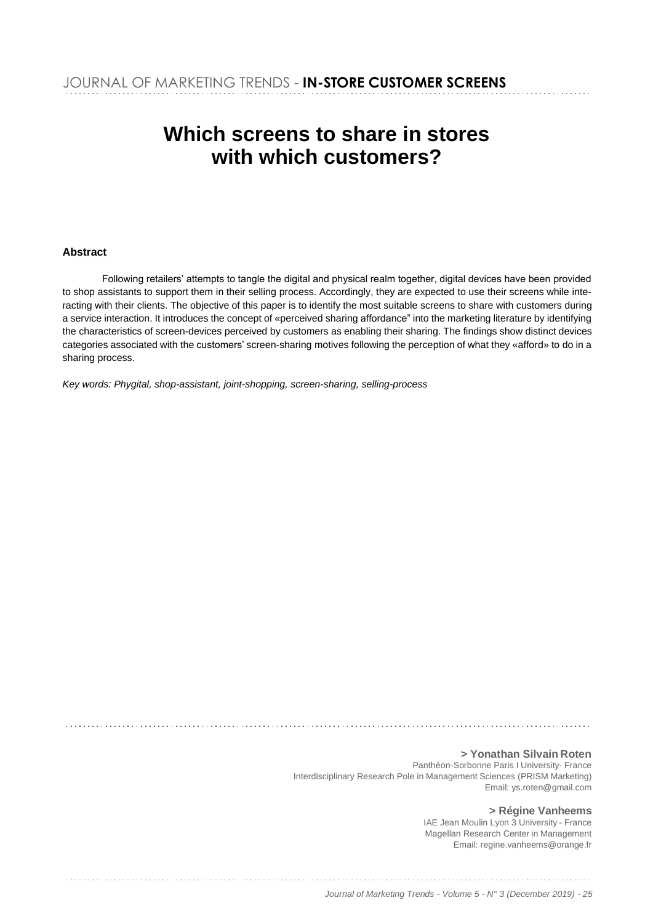# **Which screens to share in stores with which customers?**

#### **Abstract**

Following retailers' attempts to tangle the digital and physical realm together, digital devices have been provided to shop assistants to support them in their selling process. Accordingly, they are expected to use their screens while interacting with their clients. The objective of this paper is to identify the most suitable screens to share with customers during a service interaction. It introduces the concept of «perceived sharing affordance" into the marketing literature by identifying the characteristics of screen-devices perceived by customers as enabling their sharing. The findings show distinct devices categories associated with the customers' screen-sharing motives following the perception of what they «afford» to do in a sharing process.

*Key words: Phygital, shop-assistant, joint-shopping, screen-sharing, selling-process*

**> Yonathan Silvain Roten** Panthéon-Sorbonne Paris I University- France Interdisciplinary Research Pole in Management Sciences (PRISM Marketing) [Email: ys.roten@gmail.com](mailto:ys.roten@gmail.com)

> **> Régine Vanheems** IAE Jean Moulin Lyon 3 University - France Magellan Research Center in Management [Email: regine.vanheems@orange.fr](mailto:regine.vanheems@orange.fr)

*Journal of Marketing Trends - Volume 5 - N° 3 (December 2019) - 25*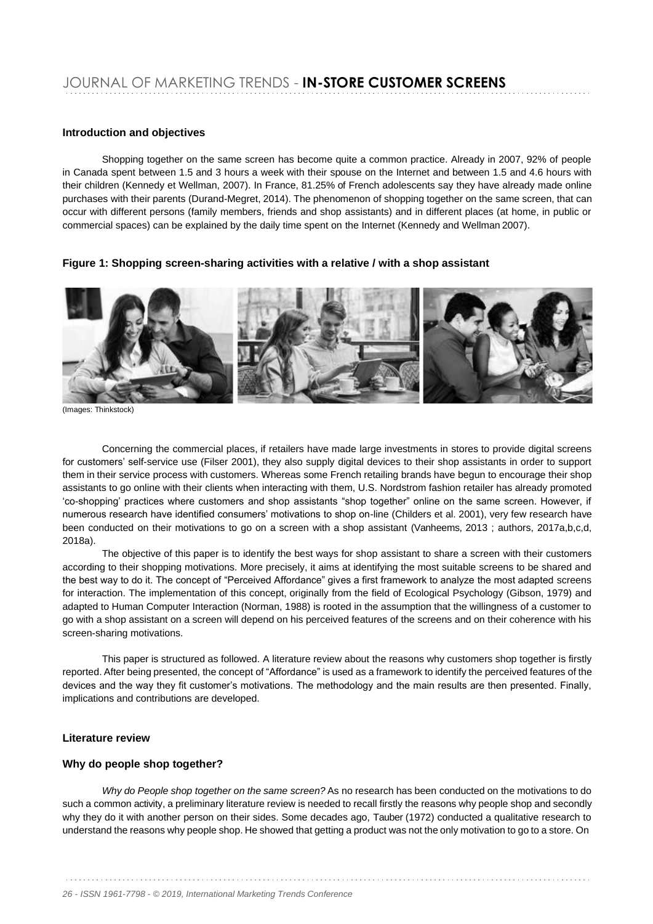#### **Introduction and objectives**

Shopping together on the same screen has become quite a common practice. Already in 2007, 92% of people in Canada spent between 1.5 and 3 hours a week with their spouse on the Internet and between 1.5 and 4.6 hours with their children (Kennedy et Wellman, 2007). In France, 81.25% of French adolescents say they have already made online purchases with their parents (Durand-Megret, 2014). The phenomenon of shopping together on the same screen, that can occur with different persons (family members, friends and shop assistants) and in different places (at home, in public or commercial spaces) can be explained by the daily time spent on the Internet (Kennedy and Wellman 2007).

**Figure 1: Shopping screen-sharing activities with a relative / with a shop assistant**



(Images: Thinkstock)

Concerning the commercial places, if retailers have made large investments in stores to provide digital screens for customers' self-service use (Filser 2001), they also supply digital devices to their shop assistants in order to support them in their service process with customers. Whereas some French retailing brands have begun to encourage their shop assistants to go online with their clients when interacting with them, U.S. Nordstrom fashion retailer has already promoted 'co-shopping' practices where customers and shop assistants "shop together" online on the same screen. However, if numerous research have identified consumers' motivations to shop on-line (Childers et al. 2001), very few research have been conducted on their motivations to go on a screen with a shop assistant (Vanheems, 2013 ; authors, 2017a,b,c,d, 2018a).

The objective of this paper is to identify the best ways for shop assistant to share a screen with their customers according to their shopping motivations. More precisely, it aims at identifying the most suitable screens to be shared and the best way to do it. The concept of "Perceived Affordance" gives a first framework to analyze the most adapted screens for interaction. The implementation of this concept, originally from the field of Ecological Psychology (Gibson, 1979) and adapted to Human Computer Interaction (Norman, 1988) is rooted in the assumption that the willingness of a customer to go with a shop assistant on a screen will depend on his perceived features of the screens and on their coherence with his screen-sharing motivations.

This paper is structured as followed. A literature review about the reasons why customers shop together is firstly reported. After being presented, the concept of "Affordance" is used as a framework to identify the perceived features of the devices and the way they fit customer's motivations. The methodology and the main results are then presented. Finally, implications and contributions are developed.

#### **Literature review**

#### **Why do people shop together?**

*Why do People shop together on the same screen?* As no research has been conducted on the motivations to do such a common activity, a preliminary literature review is needed to recall firstly the reasons why people shop and secondly why they do it with another person on their sides. Some decades ago, Tauber (1972) conducted a qualitative research to understand the reasons why people shop. He showed that getting a product was not the only motivation to go to a store. On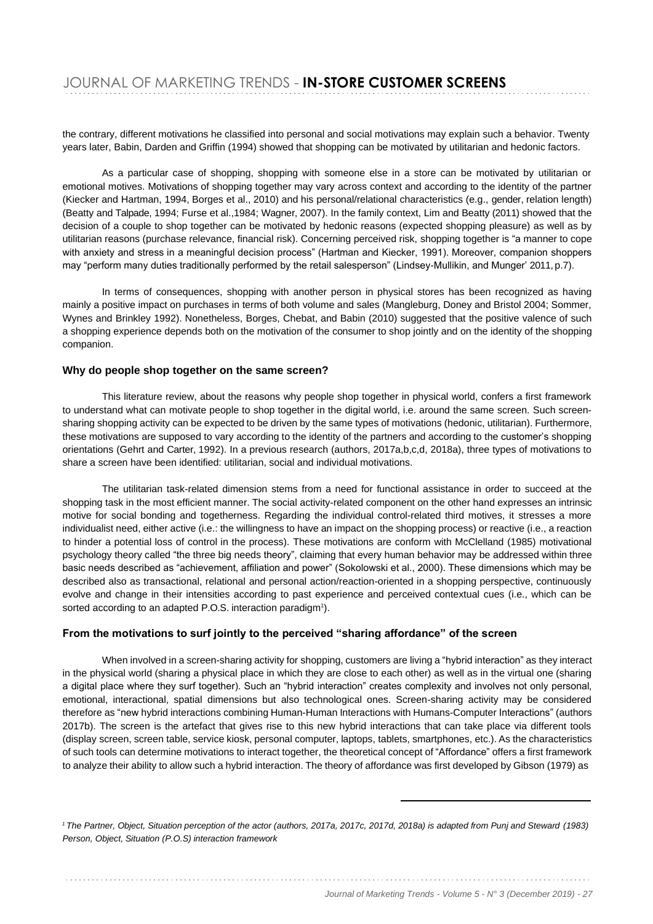the contrary, different motivations he classified into personal and social motivations may explain such a behavior. Twenty years later, Babin, Darden and Griffin (1994) showed that shopping can be motivated by utilitarian and hedonic factors.

As a particular case of shopping, shopping with someone else in a store can be motivated by utilitarian or emotional motives. Motivations of shopping together may vary across context and according to the identity of the partner (Kiecker and Hartman, 1994, Borges et al., 2010) and his personal/relational characteristics (e.g., gender, relation length) (Beatty and Talpade, 1994; Furse et al.,1984; Wagner, 2007). In the family context, Lim and Beatty (2011) showed that the decision of a couple to shop together can be motivated by hedonic reasons (expected shopping pleasure) as well as by utilitarian reasons (purchase relevance, financial risk). Concerning perceived risk, shopping together is "a manner to cope with anxiety and stress in a meaningful decision process" (Hartman and Kiecker, 1991). Moreover, companion shoppers may "perform many duties traditionally performed by the retail salesperson" (Lindsey-Mullikin, and Munger' 2011, p.7).

In terms of consequences, shopping with another person in physical stores has been recognized as having mainly a positive impact on purchases in terms of both volume and sales (Mangleburg, Doney and Bristol 2004; Sommer, Wynes and Brinkley 1992). Nonetheless, Borges, Chebat, and Babin (2010) suggested that the positive valence of such a shopping experience depends both on the motivation of the consumer to shop jointly and on the identity of the shopping companion.

#### **Why do people shop together on the same screen?**

This literature review, about the reasons why people shop together in physical world, confers a first framework to understand what can motivate people to shop together in the digital world, i.e. around the same screen. Such screensharing shopping activity can be expected to be driven by the same types of motivations (hedonic, utilitarian). Furthermore, these motivations are supposed to vary according to the identity of the partners and according to the customer's shopping orientations (Gehrt and Carter, 1992). In a previous research (authors, 2017a,b,c,d, 2018a), three types of motivations to share a screen have been identified: utilitarian, social and individual motivations.

The utilitarian task-related dimension stems from a need for functional assistance in order to succeed at the shopping task in the most efficient manner. The social activity-related component on the other hand expresses an intrinsic motive for social bonding and togetherness. Regarding the individual control-related third motives, it stresses a more individualist need, either active (i.e.: the willingness to have an impact on the shopping process) or reactive (i.e., a reaction to hinder a potential loss of control in the process). These motivations are conform with McClelland (1985) motivational psychology theory called "the three big needs theory", claiming that every human behavior may be addressed within three basic needs described as "achievement, affiliation and power" (Sokolowski et al., 2000). These dimensions which may be described also as transactional, relational and personal action/reaction-oriented in a shopping perspective, continuously evolve and change in their intensities according to past experience and perceived contextual cues (i.e., which can be sorted according to an adapted P.O.S. interaction paradigm<sup>1</sup>).

#### **From the motivations to surf jointly to the perceived "sharing affordance" of the screen**

When involved in a screen-sharing activity for shopping, customers are living a "hybrid interaction" as they interact in the physical world (sharing a physical place in which they are close to each other) as well as in the virtual one (sharing a digital place where they surf together). Such an "hybrid interaction" creates complexity and involves not only personal, emotional, interactional, spatial dimensions but also technological ones. Screen-sharing activity may be considered therefore as "new hybrid interactions combining Human-Human Interactions with Humans-Computer Interactions" (authors 2017b). The screen is the artefact that gives rise to this new hybrid interactions that can take place via different tools (display screen, screen table, service kiosk, personal computer, laptops, tablets, smartphones, etc.). As the characteristics of such tools can determine motivations to interact together, the theoretical concept of "Affordance" offers a first framework to analyze their ability to allow such a hybrid interaction. The theory of affordance was first developed by Gibson (1979) as

*<sup>1</sup>The Partner, Object, Situation perception of the actor (authors, 2017a, 2017c, 2017d, 2018a) is adapted from Punj and Steward (1983) Person, Object, Situation (P.O.S) interaction framework*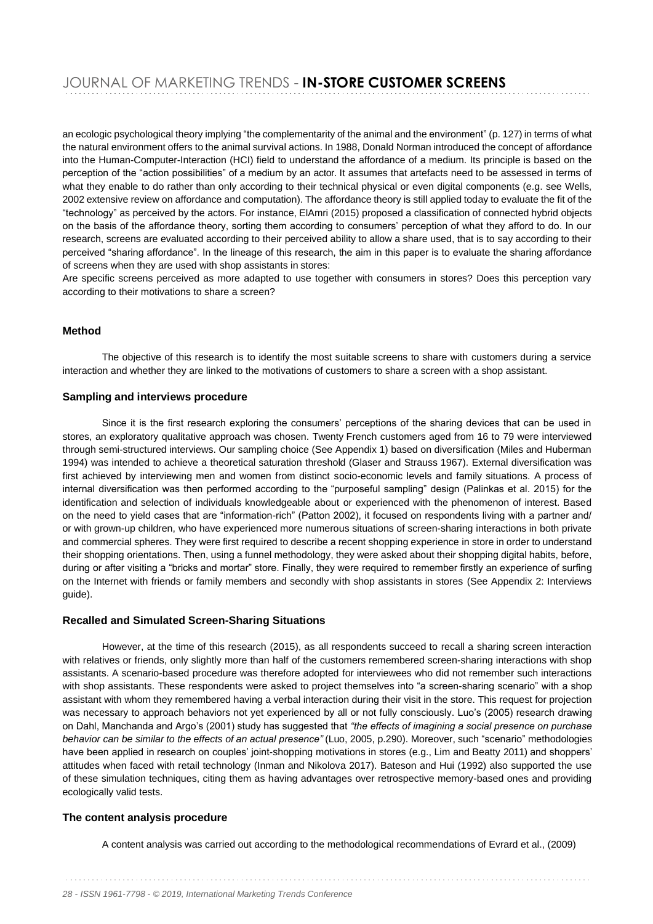an ecologic psychological theory implying "the complementarity of the animal and the environment" (p. 127) in terms of what the natural environment offers to the animal survival actions. In 1988, Donald Norman introduced the concept of affordance into the Human-Computer-Interaction (HCI) field to understand the affordance of a medium. Its principle is based on the perception of the "action possibilities" of a medium by an actor. It assumes that artefacts need to be assessed in terms of what they enable to do rather than only according to their technical physical or even digital components (e.g. see Wells, 2002 extensive review on affordance and computation). The affordance theory is still applied today to evaluate the fit of the "technology" as perceived by the actors. For instance, ElAmri (2015) proposed a classification of connected hybrid objects on the basis of the affordance theory, sorting them according to consumers' perception of what they afford to do. In our research, screens are evaluated according to their perceived ability to allow a share used, that is to say according to their perceived "sharing affordance". In the lineage of this research, the aim in this paper is to evaluate the sharing affordance of screens when they are used with shop assistants in stores:

Are specific screens perceived as more adapted to use together with consumers in stores? Does this perception vary according to their motivations to share a screen?

#### **Method**

The objective of this research is to identify the most suitable screens to share with customers during a service interaction and whether they are linked to the motivations of customers to share a screen with a shop assistant.

#### **Sampling and interviews procedure**

Since it is the first research exploring the consumers' perceptions of the sharing devices that can be used in stores, an exploratory qualitative approach was chosen. Twenty French customers aged from 16 to 79 were interviewed through semi-structured interviews. Our sampling choice (See Appendix 1) based on diversification (Miles and Huberman 1994) was intended to achieve a theoretical saturation threshold (Glaser and Strauss 1967). External diversification was first achieved by interviewing men and women from distinct socio-economic levels and family situations. A process of internal diversification was then performed according to the "purposeful sampling" design (Palinkas et al. 2015) for the identification and selection of individuals knowledgeable about or experienced with the phenomenon of interest. Based on the need to yield cases that are "information-rich" (Patton 2002), it focused on respondents living with a partner and/ or with grown-up children, who have experienced more numerous situations of screen-sharing interactions in both private and commercial spheres. They were first required to describe a recent shopping experience in store in order to understand their shopping orientations. Then, using a funnel methodology, they were asked about their shopping digital habits, before, during or after visiting a "bricks and mortar" store. Finally, they were required to remember firstly an experience of surfing on the Internet with friends or family members and secondly with shop assistants in stores (See Appendix 2: Interviews guide).

#### **Recalled and Simulated Screen-Sharing Situations**

However, at the time of this research (2015), as all respondents succeed to recall a sharing screen interaction with relatives or friends, only slightly more than half of the customers remembered screen-sharing interactions with shop assistants. A scenario-based procedure was therefore adopted for interviewees who did not remember such interactions with shop assistants. These respondents were asked to project themselves into "a screen-sharing scenario" with a shop assistant with whom they remembered having a verbal interaction during their visit in the store. This request for projection was necessary to approach behaviors not yet experienced by all or not fully consciously. Luo's (2005) research drawing on Dahl, Manchanda and Argo's (2001) study has suggested that *"the effects of imagining a social presence on purchase behavior can be similar to the effects of an actual presence"* (Luo, 2005, p.290). Moreover, such "scenario" methodologies have been applied in research on couples' joint-shopping motivations in stores (e.g., Lim and Beatty 2011) and shoppers' attitudes when faced with retail technology (Inman and Nikolova 2017). Bateson and Hui (1992) also supported the use of these simulation techniques, citing them as having advantages over retrospective memory-based ones and providing ecologically valid tests.

#### **The content analysis procedure**

A content analysis was carried out according to the methodological recommendations of Evrard et al., (2009)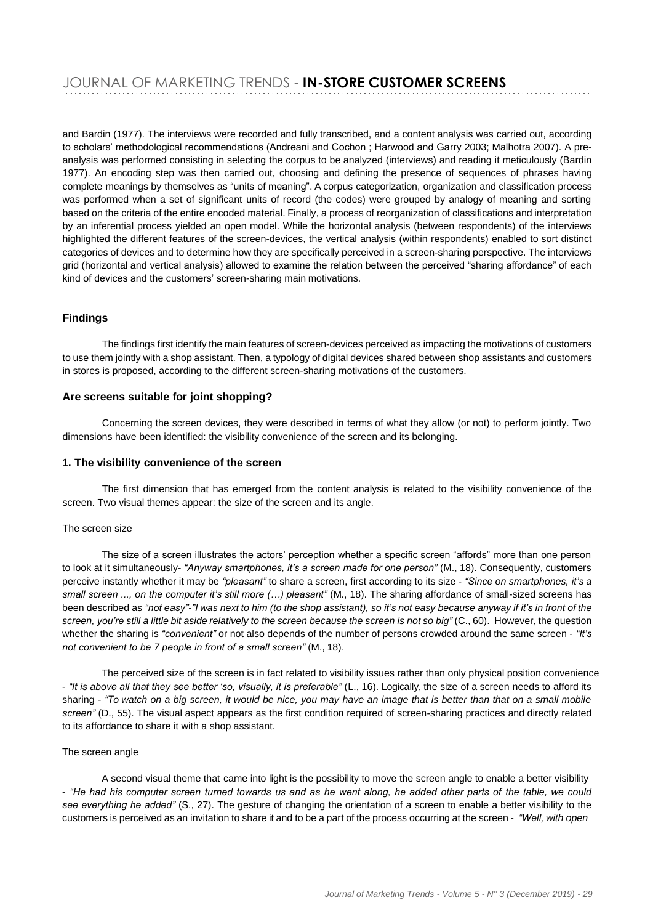and Bardin (1977). The interviews were recorded and fully transcribed, and a content analysis was carried out, according to scholars' methodological recommendations (Andreani and Cochon ; Harwood and Garry 2003; Malhotra 2007). A preanalysis was performed consisting in selecting the corpus to be analyzed (interviews) and reading it meticulously (Bardin 1977). An encoding step was then carried out, choosing and defining the presence of sequences of phrases having complete meanings by themselves as "units of meaning". A corpus categorization, organization and classification process was performed when a set of significant units of record (the codes) were grouped by analogy of meaning and sorting based on the criteria of the entire encoded material. Finally, a process of reorganization of classifications and interpretation by an inferential process yielded an open model. While the horizontal analysis (between respondents) of the interviews highlighted the different features of the screen-devices, the vertical analysis (within respondents) enabled to sort distinct categories of devices and to determine how they are specifically perceived in a screen-sharing perspective. The interviews grid (horizontal and vertical analysis) allowed to examine the relation between the perceived "sharing affordance" of each kind of devices and the customers' screen-sharing main motivations.

#### **Findings**

The findings first identify the main features of screen-devices perceived as impacting the motivations of customers to use them jointly with a shop assistant. Then, a typology of digital devices shared between shop assistants and customers in stores is proposed, according to the different screen-sharing motivations of the customers.

#### **Are screens suitable for joint shopping?**

Concerning the screen devices, they were described in terms of what they allow (or not) to perform jointly. Two dimensions have been identified: the visibility convenience of the screen and its belonging.

#### **1. The visibility convenience of the screen**

The first dimension that has emerged from the content analysis is related to the visibility convenience of the screen. Two visual themes appear: the size of the screen and its angle.

#### The screen size

The size of a screen illustrates the actors' perception whether a specific screen "affords" more than one person to look at it simultaneously- *"Anyway smartphones, it's a screen made for one person"* (M., 18). Consequently, customers perceive instantly whether it may be *"pleasant"* to share a screen, first according to its size - *"Since on smartphones, it's a small screen ..., on the computer it's still more (…) pleasant"* (M., 18). The sharing affordance of small-sized screens has been described as "not easy"-"I was next to him (to the shop assistant), so it's not easy because anyway if it's in front of the screen, you're still a little bit aside relatively to the screen because the screen is not so big" (C., 60). However, the question whether the sharing is *"convenient"* or not also depends of the number of persons crowded around the same screen - *"It's not convenient to be 7 people in front of a small screen"* (M., 18).

The perceived size of the screen is in fact related to visibility issues rather than only physical position convenience - *"It is above all that they see better 'so, visually, it is preferable"* (L., 16). Logically, the size of a screen needs to afford its sharing - *"To watch on a big screen, it would be nice, you may have an image that is better than that on a small mobile screen"* (D., 55). The visual aspect appears as the first condition required of screen-sharing practices and directly related to its affordance to share it with a shop assistant.

#### The screen angle

A second visual theme that came into light is the possibility to move the screen angle to enable a better visibility - *"He had his computer screen turned towards us and as he went along, he added other parts of the table, we could see everything he added"* (S., 27). The gesture of changing the orientation of a screen to enable a better visibility to the customers is perceived as an invitation to share it and to be a part of the process occurring at the screen - *"Well, with open*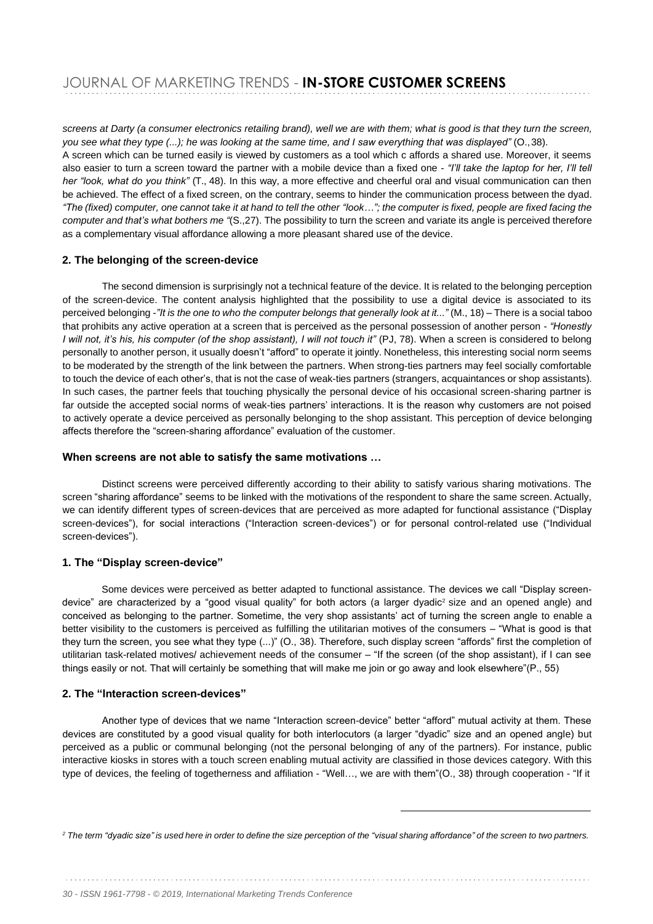screens at Darty (a consumer electronics retailing brand), well we are with them; what is good is that they turn the screen, *you see what they type (...); he was looking at the same time, and I saw everything that was displayed"* (O.,38). A screen which can be turned easily is viewed by customers as a tool which c affords a shared use. Moreover, it seems also easier to turn a screen toward the partner with a mobile device than a fixed one - *"I'll take the laptop for her, I'll tell her "look, what do you think"* (T., 48). In this way, a more effective and cheerful oral and visual communication can then be achieved. The effect of a fixed screen, on the contrary, seems to hinder the communication process between the dyad. "The (fixed) computer, one cannot take it at hand to tell the other "look..."; the computer is fixed, people are fixed facing the *computer and that's what bothers me "*(S.,27). The possibility to turn the screen and variate its angle is perceived therefore as a complementary visual affordance allowing a more pleasant shared use of the device.

#### **2. The belonging of the screen-device**

The second dimension is surprisingly not a technical feature of the device. It is related to the belonging perception of the screen-device. The content analysis highlighted that the possibility to use a digital device is associated to its perceived belonging -"It is the one to who the computer belongs that generally look at it..." (M., 18) - There is a social taboo that prohibits any active operation at a screen that is perceived as the personal possession of another person - *"Honestly I will not, it's his, his computer (of the shop assistant), I will not touch it" (PJ, 78)*. When a screen is considered to belong personally to another person, it usually doesn't "afford" to operate it jointly. Nonetheless, this interesting social norm seems to be moderated by the strength of the link between the partners. When strong-ties partners may feel socially comfortable to touch the device of each other's, that is not the case of weak-ties partners (strangers, acquaintances or shop assistants). In such cases, the partner feels that touching physically the personal device of his occasional screen-sharing partner is far outside the accepted social norms of weak-ties partners' interactions. It is the reason why customers are not poised to actively operate a device perceived as personally belonging to the shop assistant. This perception of device belonging affects therefore the "screen-sharing affordance" evaluation of the customer.

#### **When screens are not able to satisfy the same motivations …**

Distinct screens were perceived differently according to their ability to satisfy various sharing motivations. The screen "sharing affordance" seems to be linked with the motivations of the respondent to share the same screen. Actually, we can identify different types of screen-devices that are perceived as more adapted for functional assistance ("Display screen-devices"), for social interactions ("Interaction screen-devices") or for personal control-related use ("Individual screen-devices").

#### **1. The "Display screen-device"**

Some devices were perceived as better adapted to functional assistance. The devices we call "Display screendevice" are characterized by a "good visual quality" for both actors (a larger dyadic<sup>2</sup> size and an opened angle) and conceived as belonging to the partner. Sometime, the very shop assistants' act of turning the screen angle to enable a better visibility to the customers is perceived as fulfilling the utilitarian motives of the consumers – "What is good is that they turn the screen, you see what they type (...)" (O., 38). Therefore, such display screen "affords" first the completion of utilitarian task-related motives/ achievement needs of the consumer – "If the screen (of the shop assistant), if I can see things easily or not. That will certainly be something that will make me join or go away and look elsewhere"(P., 55)

#### **2. The "Interaction screen-devices"**

Another type of devices that we name "Interaction screen-device" better "afford" mutual activity at them. These devices are constituted by a good visual quality for both interlocutors (a larger "dyadic" size and an opened angle) but perceived as a public or communal belonging (not the personal belonging of any of the partners). For instance, public interactive kiosks in stores with a touch screen enabling mutual activity are classified in those devices category. With this type of devices, the feeling of togetherness and affiliation - "Well…, we are with them"(O., 38) through cooperation - "If it

<sup>&</sup>lt;sup>2</sup> The term "dvadic size" is used here in order to define the size perception of the "visual sharing affordance" of the screen to two partners.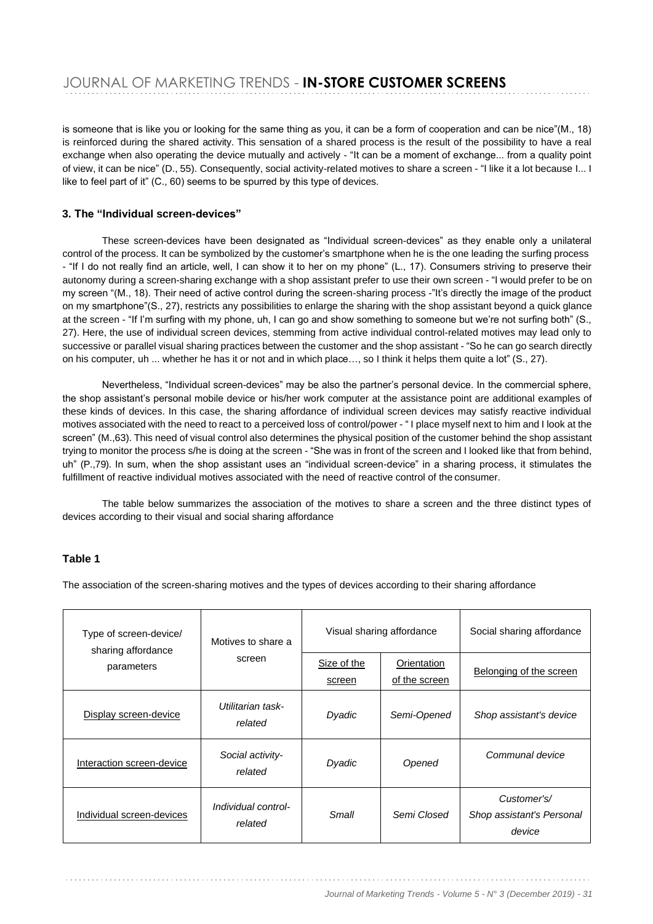is someone that is like you or looking for the same thing as you, it can be a form of cooperation and can be nice"(M., 18) is reinforced during the shared activity. This sensation of a shared process is the result of the possibility to have a real exchange when also operating the device mutually and actively - "It can be a moment of exchange... from a quality point of view, it can be nice" (D., 55). Consequently, social activity-related motives to share a screen - "I like it a lot because I... I like to feel part of it" (C., 60) seems to be spurred by this type of devices.

#### **3. The "Individual screen-devices"**

These screen-devices have been designated as "Individual screen-devices" as they enable only a unilateral control of the process. It can be symbolized by the customer's smartphone when he is the one leading the surfing process - "If I do not really find an article, well, I can show it to her on my phone" (L., 17). Consumers striving to preserve their autonomy during a screen-sharing exchange with a shop assistant prefer to use their own screen - "I would prefer to be on my screen "(M., 18). Their need of active control during the screen-sharing process -"It's directly the image of the product on my smartphone"(S., 27), restricts any possibilities to enlarge the sharing with the shop assistant beyond a quick glance at the screen - "If I'm surfing with my phone, uh, I can go and show something to someone but we're not surfing both" (S., 27). Here, the use of individual screen devices, stemming from active individual control-related motives may lead only to successive or parallel visual sharing practices between the customer and the shop assistant - "So he can go search directly on his computer, uh ... whether he has it or not and in which place…, so I think it helps them quite a lot" (S., 27).

Nevertheless, "Individual screen-devices" may be also the partner's personal device. In the commercial sphere, the shop assistant's personal mobile device or his/her work computer at the assistance point are additional examples of these kinds of devices. In this case, the sharing affordance of individual screen devices may satisfy reactive individual motives associated with the need to react to a perceived loss of control/power - " I place myself next to him and I look at the screen" (M.,63). This need of visual control also determines the physical position of the customer behind the shop assistant trying to monitor the process s/he is doing at the screen - "She was in front of the screen and I looked like that from behind, uh" (P.,79). In sum, when the shop assistant uses an "individual screen-device" in a sharing process, it stimulates the fulfillment of reactive individual motives associated with the need of reactive control of the consumer.

The table below summarizes the association of the motives to share a screen and the three distinct types of devices according to their visual and social sharing affordance

#### **Table 1**

The association of the screen-sharing motives and the types of devices according to their sharing affordance

| Type of screen-device/<br>sharing affordance<br>parameters | Motives to share a<br>screen   | Visual sharing affordance |                              | Social sharing affordance                          |  |
|------------------------------------------------------------|--------------------------------|---------------------------|------------------------------|----------------------------------------------------|--|
|                                                            |                                | Size of the<br>screen     | Orientation<br>of the screen | Belonging of the screen                            |  |
| Display screen-device                                      | Utilitarian task-<br>related   | Dyadic                    | Semi-Opened                  | Shop assistant's device                            |  |
| Interaction screen-device                                  | Social activity-<br>related    | Dyadic                    | Opened                       | Communal device                                    |  |
| Individual screen-devices                                  | Individual control-<br>related | Small                     | Semi Closed                  | Customer's/<br>Shop assistant's Personal<br>device |  |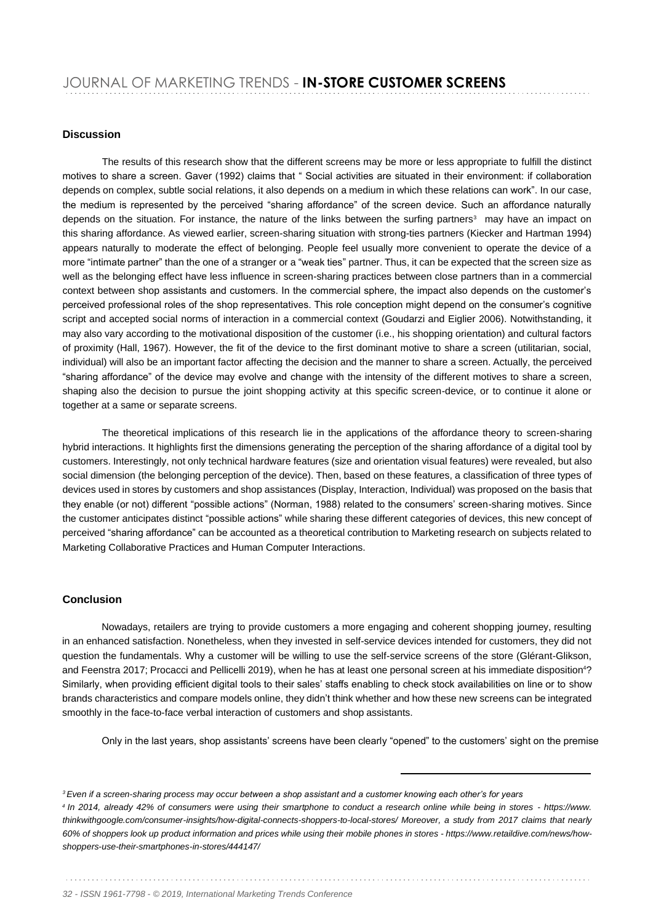#### **Discussion**

The results of this research show that the different screens may be more or less appropriate to fulfill the distinct motives to share a screen. Gaver (1992) claims that " Social activities are situated in their environment: if collaboration depends on complex, subtle social relations, it also depends on a medium in which these relations can work". In our case, the medium is represented by the perceived "sharing affordance" of the screen device. Such an affordance naturally depends on the situation. For instance, the nature of the links between the surfing partners<sup>3</sup> may have an impact on this sharing affordance. As viewed earlier, screen-sharing situation with strong-ties partners (Kiecker and Hartman 1994) appears naturally to moderate the effect of belonging. People feel usually more convenient to operate the device of a more "intimate partner" than the one of a stranger or a "weak ties" partner. Thus, it can be expected that the screen size as well as the belonging effect have less influence in screen-sharing practices between close partners than in a commercial context between shop assistants and customers. In the commercial sphere, the impact also depends on the customer's perceived professional roles of the shop representatives. This role conception might depend on the consumer's cognitive script and accepted social norms of interaction in a commercial context (Goudarzi and Eiglier 2006). Notwithstanding, it may also vary according to the motivational disposition of the customer (i.e., his shopping orientation) and cultural factors of proximity (Hall, 1967). However, the fit of the device to the first dominant motive to share a screen (utilitarian, social, individual) will also be an important factor affecting the decision and the manner to share a screen. Actually, the perceived "sharing affordance" of the device may evolve and change with the intensity of the different motives to share a screen, shaping also the decision to pursue the joint shopping activity at this specific screen-device, or to continue it alone or together at a same or separate screens.

The theoretical implications of this research lie in the applications of the affordance theory to screen-sharing hybrid interactions. It highlights first the dimensions generating the perception of the sharing affordance of a digital tool by customers. Interestingly, not only technical hardware features (size and orientation visual features) were revealed, but also social dimension (the belonging perception of the device). Then, based on these features, a classification of three types of devices used in stores by customers and shop assistances (Display, Interaction, Individual) was proposed on the basis that they enable (or not) different "possible actions" (Norman, 1988) related to the consumers' screen-sharing motives. Since the customer anticipates distinct "possible actions" while sharing these different categories of devices, this new concept of perceived "sharing affordance" can be accounted as a theoretical contribution to Marketing research on subjects related to Marketing Collaborative Practices and Human Computer Interactions.

#### **Conclusion**

Nowadays, retailers are trying to provide customers a more engaging and coherent shopping journey, resulting in an enhanced satisfaction. Nonetheless, when they invested in self-service devices intended for customers, they did not question the fundamentals. Why a customer will be willing to use the self-service screens of the store (Glérant-Glikson, and Feenstra 2017; Procacci and Pellicelli 2019), when he has at least one personal screen at his immediate disposition<sup>4</sup>? Similarly, when providing efficient digital tools to their sales' staffs enabling to check stock availabilities on line or to show brands characteristics and compare models online, they didn't think whether and how these new screens can be integrated smoothly in the face-to-face verbal interaction of customers and shop assistants.

Only in the last years, shop assistants' screens have been clearly "opened" to the customers' sight on the premise

*32 - ISSN 1961-7798 - © 2019, International Marketing Trends Conference*

*<sup>3</sup>Even if a screen-sharing process may occur between a shop assistant and a customer knowing each other's for years <sup>4</sup>In 2014, already 42% of consumers were using their smartphone to conduct a research online while being in stores - [https://www.](http://www/)  thinkwithgoogle.com/consumer-insights/how-digital-connects-shoppers-to-local-stores/ Moreover, a study from 2017 claims that nearly*  60% of shoppers look up product information and prices while using their mobile phones in stores - [https://www.retaildive.com/news/how](http://www.retaildive.com/news/how-)*shoppers-use-their-smartphones-in-stores/444147/*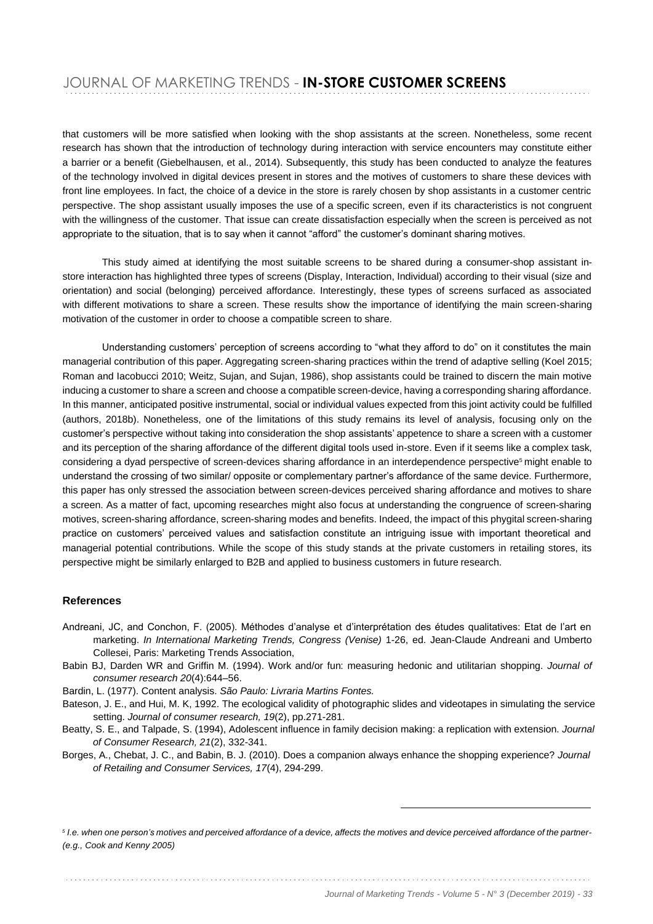that customers will be more satisfied when looking with the shop assistants at the screen. Nonetheless, some recent research has shown that the introduction of technology during interaction with service encounters may constitute either a barrier or a benefit (Giebelhausen, et al., 2014). Subsequently, this study has been conducted to analyze the features of the technology involved in digital devices present in stores and the motives of customers to share these devices with front line employees. In fact, the choice of a device in the store is rarely chosen by shop assistants in a customer centric perspective. The shop assistant usually imposes the use of a specific screen, even if its characteristics is not congruent with the willingness of the customer. That issue can create dissatisfaction especially when the screen is perceived as not appropriate to the situation, that is to say when it cannot "afford" the customer's dominant sharing motives.

This study aimed at identifying the most suitable screens to be shared during a consumer-shop assistant instore interaction has highlighted three types of screens (Display, Interaction, Individual) according to their visual (size and orientation) and social (belonging) perceived affordance. Interestingly, these types of screens surfaced as associated with different motivations to share a screen. These results show the importance of identifying the main screen-sharing motivation of the customer in order to choose a compatible screen to share.

Understanding customers' perception of screens according to "what they afford to do" on it constitutes the main managerial contribution of this paper. Aggregating screen-sharing practices within the trend of adaptive selling (Koel 2015; Roman and Iacobucci 2010; Weitz, Sujan, and Sujan, 1986), shop assistants could be trained to discern the main motive inducing a customer to share a screen and choose a compatible screen-device, having a corresponding sharing affordance. In this manner, anticipated positive instrumental, social or individual values expected from this joint activity could be fulfilled (authors, 2018b). Nonetheless, one of the limitations of this study remains its level of analysis, focusing only on the customer's perspective without taking into consideration the shop assistants' appetence to share a screen with a customer and its perception of the sharing affordance of the different digital tools used in-store. Even if it seems like a complex task, considering a dyad perspective of screen-devices sharing affordance in an interdependence perspective<sup>5</sup> might enable to understand the crossing of two similar/ opposite or complementary partner's affordance of the same device. Furthermore, this paper has only stressed the association between screen-devices perceived sharing affordance and motives to share a screen. As a matter of fact, upcoming researches might also focus at understanding the congruence of screen-sharing motives, screen-sharing affordance, screen-sharing modes and benefits. Indeed, the impact of this phygital screen-sharing practice on customers' perceived values and satisfaction constitute an intriguing issue with important theoretical and managerial potential contributions. While the scope of this study stands at the private customers in retailing stores, its perspective might be similarly enlarged to B2B and applied to business customers in future research.

#### **References**

- Andreani, JC, and Conchon, F. (2005). Méthodes d'analyse et d'interprétation des études qualitatives: Etat de l'art en marketing. *In International Marketing Trends, Congress (Venise)* 1-26, ed. Jean-Claude Andreani and Umberto Collesei, Paris: Marketing Trends Association,
- Babin BJ, Darden WR and Griffin M. (1994). Work and/or fun: measuring hedonic and utilitarian shopping. *Journal of consumer research 20*(4):644–56.

Bardin, L. (1977). Content analysis. *São Paulo: Livraria Martins Fontes.*

Bateson, J. E., and Hui, M. K, 1992. The ecological validity of photographic slides and videotapes in simulating the service setting. *Journal of consumer research, 19*(2), pp.271-281.

Beatty, S. E., and Talpade, S. (1994), Adolescent influence in family decision making: a replication with extension. *Journal of Consumer Research, 21*(2), 332-341.

Borges, A., Chebat, J. C., and Babin, B. J. (2010). Does a companion always enhance the shopping experience? *Journal of Retailing and Consumer Services, 17*(4), 294-299.

<sup>5</sup> I.e. when one person's motives and perceived affordance of a device, affects the motives and device perceived affordance of the partner-*(e.g., Cook and Kenny 2005)*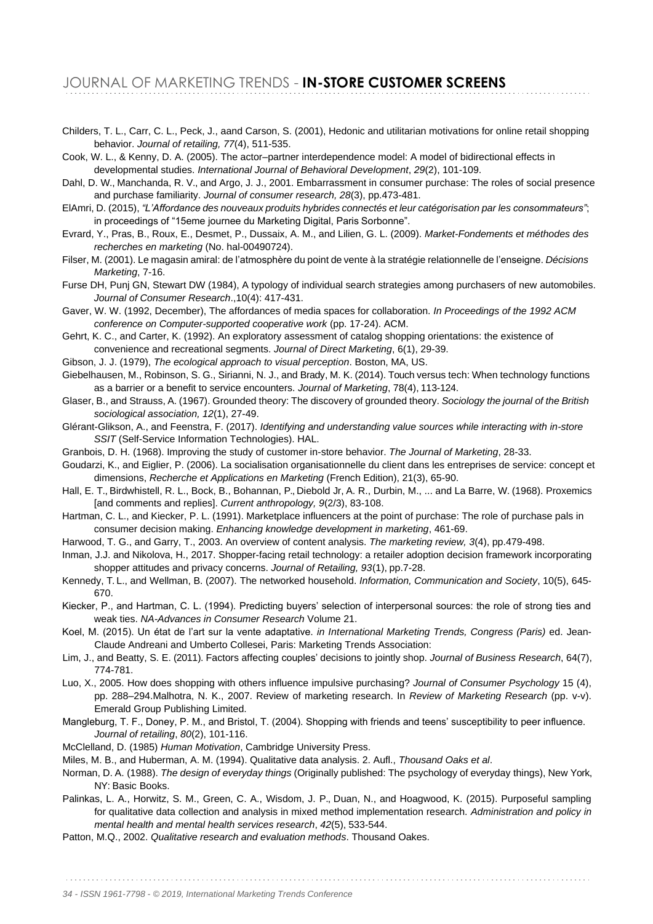Childers, T. L., Carr, C. L., Peck, J., aand Carson, S. (2001), Hedonic and utilitarian motivations for online retail shopping behavior. *Journal of retailing, 77*(4), 511-535.

Cook, W. L., & Kenny, D. A. (2005). The actor–partner interdependence model: A model of bidirectional effects in developmental studies. *International Journal of Behavioral Development*, *29*(2), 101-109.

Dahl, D. W., Manchanda, R. V., and Argo, J. J., 2001. Embarrassment in consumer purchase: The roles of social presence and purchase familiarity. *Journal of consumer research, 28*(3), pp.473-481.

- ElAmri, D. (2015), *"L'Affordance des nouveaux produits hybrides connectés et leur catégorisation par les consommateurs"*; in proceedings of "15eme journee du Marketing Digital, Paris Sorbonne".
- Evrard, Y., Pras, B., Roux, E., Desmet, P., Dussaix, A. M., and Lilien, G. L. (2009). *Market-Fondements et méthodes des recherches en marketing* (No. hal-00490724).
- Filser, M. (2001). Le magasin amiral: de l'atmosphère du point de vente à la stratégie relationnelle de l'enseigne. *Décisions Marketing*, 7-16.
- Furse DH, Punj GN, Stewart DW (1984), A typology of individual search strategies among purchasers of new automobiles. *Journal of Consumer Research*.,10(4): 417-431.
- Gaver, W. W. (1992, December), The affordances of media spaces for collaboration. *In Proceedings of the 1992 ACM conference on Computer-supported cooperative work* (pp. 17-24). ACM.
- Gehrt, K. C., and Carter, K. (1992). An exploratory assessment of catalog shopping orientations: the existence of convenience and recreational segments. *Journal of Direct Marketing*, 6(1), 29-39.
- Gibson, J. J. (1979), *The ecological approach to visual perception*. Boston, MA, US.
- Giebelhausen, M., Robinson, S. G., Sirianni, N. J., and Brady, M. K. (2014). Touch versus tech: When technology functions as a barrier or a benefit to service encounters. *Journal of Marketing*, 78(4), 113-124.

Glaser, B., and Strauss, A. (1967). Grounded theory: The discovery of grounded theory. *Sociology the journal of the British sociological association, 12*(1), 27-49.

- Glérant-Glikson, A., and Feenstra, F. (2017). *Identifying and understanding value sources while interacting with in-store*  **SSIT (Self-Service Information Technologies). HAL.**
- Granbois, D. H. (1968). Improving the study of customer in-store behavior. *The Journal of Marketing*, 28-33.
- Goudarzi, K., and Eiglier, P. (2006). La socialisation organisationnelle du client dans les entreprises de service: concept et dimensions, *Recherche et Applications en Marketing* (French Edition), 21(3), 65-90.
- Hall, E. T., Birdwhistell, R. L., Bock, B., Bohannan, P., Diebold Jr, A. R., Durbin, M., ... and La Barre, W. (1968). Proxemics [and comments and replies]. *Current anthropology, 9*(2/3), 83-108.
- Hartman, C. L., and Kiecker, P. L. (1991). Marketplace influencers at the point of purchase: The role of purchase pals in consumer decision making. *Enhancing knowledge development in marketing*, 461-69.
- Harwood, T. G., and Garry, T., 2003. An overview of content analysis. *The marketing review, 3*(4), pp.479-498.
- Inman, J.J. and Nikolova, H., 2017. Shopper-facing retail technology: a retailer adoption decision framework incorporating shopper attitudes and privacy concerns. *Journal of Retailing, 93*(1), pp.7-28.
- Kennedy, T. L., and Wellman, B. (2007). The networked household. *Information, Communication and Society*, 10(5), 645- 670.
- Kiecker, P., and Hartman, C. L. (1994). Predicting buyers' selection of interpersonal sources: the role of strong ties and weak ties. *NA-Advances in Consumer Research* Volume 21.
- Koel, M. (2015). Un état de l'art sur la vente adaptative. *in International Marketing Trends, Congress (Paris)* ed. Jean-Claude Andreani and Umberto Collesei, Paris: Marketing Trends Association:
- Lim, J., and Beatty, S. E. (2011). Factors affecting couples' decisions to jointly shop. *Journal of Business Research*, 64(7), 774-781.
- Luo, X., 2005. How does shopping with others influence impulsive purchasing? *Journal of Consumer Psychology* 15 (4), pp. 288–294.Malhotra, N. K., 2007. Review of marketing research. In *Review of Marketing Research* (pp. v-v). Emerald Group Publishing Limited.
- Mangleburg, T. F., Doney, P. M., and Bristol, T. (2004). Shopping with friends and teens' susceptibility to peer influence. *Journal of retailing*, *80*(2), 101-116.
- McClelland, D. (1985) *Human Motivation*, Cambridge University Press.
- Miles, M. B., and Huberman, A. M. (1994). Qualitative data analysis. 2. Aufl., *Thousand Oaks et al*.
- Norman, D. A. (1988). *The design of everyday things* (Originally published: The psychology of everyday things), New York, NY: Basic Books.
- Palinkas, L. A., Horwitz, S. M., Green, C. A., Wisdom, J. P., Duan, N., and Hoagwood, K. (2015). Purposeful sampling for qualitative data collection and analysis in mixed method implementation research. *Administration and policy in mental health and mental health services research*, *42*(5), 533-544.
- Patton, M.Q., 2002. *Qualitative research and evaluation methods*. Thousand Oakes.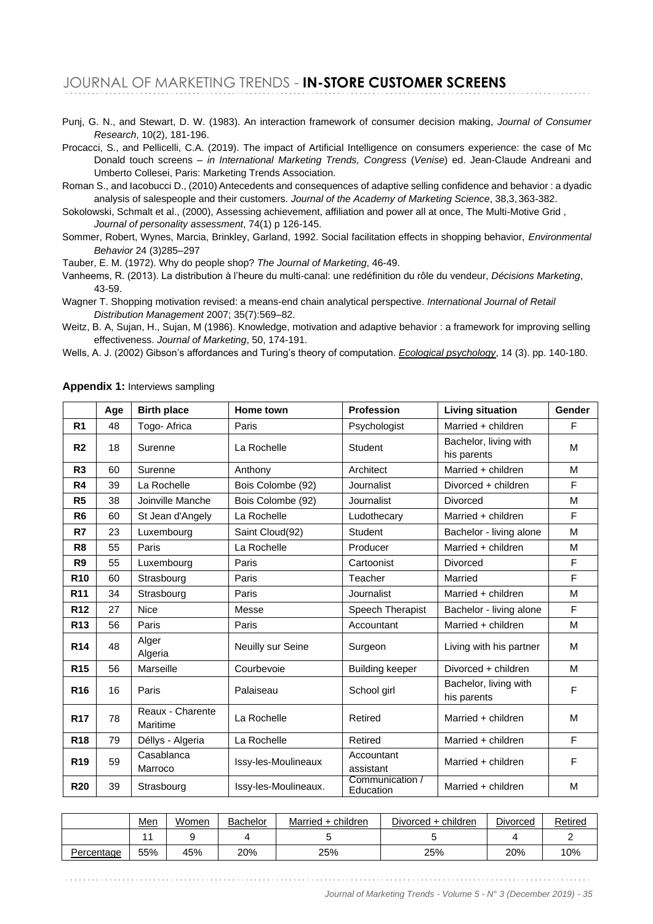Punj, G. N., and Stewart, D. W. (1983). An interaction framework of consumer decision making, *Journal of Consumer Research*, 10(2), 181-196.

Procacci, S., and Pellicelli, C.A. (2019). The impact of Artificial Intelligence on consumers experience: the case of Mc Donald touch screens – *in International Marketing Trends, Congress* (*Venise*) ed. Jean-Claude Andreani and Umberto Collesei, Paris: Marketing Trends Association.

Roman S., and Iacobucci D., (2010) Antecedents and consequences of adaptive selling confidence and behavior : a dyadic analysis of salespeople and their customers. *Journal of the Academy of Marketing Science*, 38,3,363-382.

Sokolowski, Schmalt et al., (2000), Assessing achievement, affiliation and power all at once, The Multi-Motive Grid , *Journal of personality assessment*, 74(1) p 126-145.

Sommer, Robert, Wynes, Marcia, Brinkley, Garland, 1992. Social facilitation effects in shopping behavior, *Environmental Behavior* 24 (3)285–297

Tauber, E. M. (1972). Why do people shop? *The Journal of Marketing*, 46-49.

Vanheems, R. (2013). La distribution à l'heure du multi-canal: une redéfinition du rôle du vendeur, *Décisions Marketing*, 43-59.

Wagner T. Shopping motivation revised: a means-end chain analytical perspective. *International Journal of Retail Distribution Management* 2007; 35(7):569–82.

Weitz, B. A, Sujan, H., Sujan, M (1986). Knowledge, motivation and adaptive behavior : a framework for improving selling effectiveness. *Journal of Marketing*, 50, 174-191.

Wells, A. J. (2002) Gibson's affordances and Turing's theory of computation. *Ecological psychology*, 14 (3). pp. 140-180.

|                 | Age | <b>Birth place</b>           | Home town                              | <b>Profession</b><br><b>Living situation</b>  |                                      | Gender |
|-----------------|-----|------------------------------|----------------------------------------|-----------------------------------------------|--------------------------------------|--------|
| R <sub>1</sub>  | 48  | Togo- Africa                 | Paris                                  | Psychologist                                  | Married + children                   | F      |
| R <sub>2</sub>  | 18  | Surenne                      | La Rochelle                            | Student                                       | Bachelor, living with<br>his parents | M      |
| R3              | 60  | Surenne                      | Anthony                                | Architect                                     | Married + children                   | M      |
| R4              | 39  | La Rochelle                  | Bois Colombe (92)                      | Journalist                                    | Divorced + children                  | F      |
| R <sub>5</sub>  | 38  | Joinville Manche             | Bois Colombe (92)                      | Journalist                                    | Divorced                             | M      |
| R <sub>6</sub>  | 60  | St Jean d'Angely             | La Rochelle                            | Ludothecary                                   | Married + children                   | F      |
| R7              | 23  | Luxembourg                   | Saint Cloud(92)                        | Student                                       | Bachelor - living alone              | M      |
| R <sub>8</sub>  | 55  | Paris                        | La Rochelle                            | Producer<br>Married + children                |                                      | M      |
| R <sub>9</sub>  | 55  | Luxembourg                   | Cartoonist<br><b>Divorced</b><br>Paris |                                               |                                      | F      |
| R <sub>10</sub> | 60  | Strasbourg                   | Paris<br>Teacher<br>Married            |                                               |                                      | F      |
| R <sub>11</sub> | 34  | Strasbourg                   | Paris                                  | Journalist                                    | Married + children                   | M      |
| R <sub>12</sub> | 27  | <b>Nice</b>                  | Messe                                  | Speech Therapist                              | Bachelor - living alone              | F      |
| R <sub>13</sub> | 56  | Paris                        | Paris                                  | Accountant                                    | Married + children                   | M      |
| R <sub>14</sub> | 48  | Alger<br>Algeria             | Neuilly sur Seine                      | Surgeon                                       | Living with his partner              | M      |
| R <sub>15</sub> | 56  | Marseille                    | Courbevoie                             | Divorced + children<br><b>Building keeper</b> |                                      | M      |
| R <sub>16</sub> | 16  | Paris                        | Palaiseau                              | School girl                                   | Bachelor, living with<br>his parents | F      |
| <b>R17</b>      | 78  | Reaux - Charente<br>Maritime | La Rochelle                            | Retired                                       | Married + children                   |        |
| R <sub>18</sub> | 79  | Déllys - Algeria             | La Rochelle                            | Retired                                       | Married + children                   | F      |
| R <sub>19</sub> | 59  | Casablanca<br>Marroco        | Issy-les-Moulineaux                    | Accountant<br>assistant                       | Married + children                   | F      |
| <b>R20</b>      | 39  | Strasbourg                   | Issy-les-Moulineaux.                   | Communication /<br>Education                  | Married + children                   | M      |

**Appendix 1:** Interviews sampling

|            | Men | Women | Bachelor | Married + children | Divorced + children | Divorced | Retired |
|------------|-----|-------|----------|--------------------|---------------------|----------|---------|
|            |     |       |          |                    |                     |          |         |
| Percentage | 55% | 45%   | 20%      | 25%                | 25%                 | 20%      | 10%     |

*Journal of Marketing Trends - Volume 5 - N° 3 (December 2019) - 35*